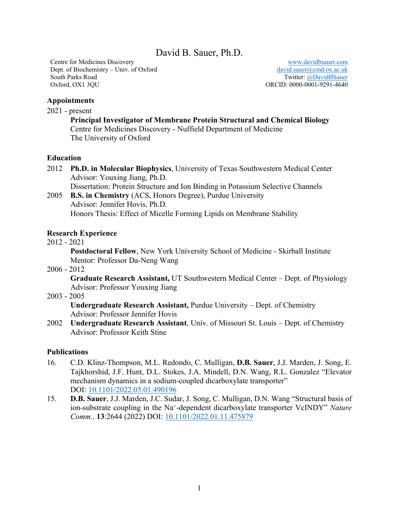David B. Sauer, Ph.D.

Centre for Medicines Discovery Dept. of Biochemistry – Univ. of Oxford South Parks Road Oxford, OX1 3QU

 www.davidbsauer.com david.sauer@cmd.ox.ac.uk Twitter: @DavidBSauer ORCID: 0000-0001-9291-4640

## **Appointments**

2021 - present

**Principal Investigator of Membrane Protein Structural and Chemical Biology** Centre for Medicines Discovery - Nuffield Department of Medicine The University of Oxford

## **Education**

- 2012 **Ph.D. in Molecular Biophysics**, University of Texas Southwestern Medical Center Advisor: Youxing Jiang, Ph.D. Dissertation: Protein Structure and Ion Binding in Potassium Selective Channels
- 2005 **B.S. in Chemistry** (ACS, Honors Degree), Purdue University Advisor: Jennifer Hovis, Ph.D. Honors Thesis: Effect of Micelle Forming Lipids on Membrane Stability

## **Research Experience**

2012 - 2021

**Postdoctoral Fellow**, New York University School of Medicine - Skirball Institute Mentor: Professor Da-Neng Wang

2006 - 2012

**Graduate Research Assistant,** UT Southwestern Medical Center – Dept. of Physiology Advisor: Professor Youxing Jiang

2003 - 2005

**Undergraduate Research Assistant,** Purdue University – Dept. of Chemistry Advisor: Professor Jennifer Hovis

2002 **Undergraduate Research Assistant**, Univ. of Missouri St. Louis – Dept. of Chemistry Advisor: Professor Keith Stine

## **Publications**

- 16. C.D. Klinz-Thompson, M.L. Redondo, C. Mulligan, **D.B. Sauer**, J.J. Marden, J. Song, E. Tajkhorshid, J.F. Hunt, D.L. Stokes, J.A. Mindell, D.N. Wang, R.L. Gonzalez "Elevator mechanism dynamics in a sodium-coupled dicarboxylate transporter" DOI: 10.1101/2022.05.01.490196
- 15. **D.B. Sauer**, J.J. Marden, J.C. Sudar, J. Song, C. Mulligan, D.N. Wang "Structural basis of ion-substrate coupling in the Na+-dependent dicarboxylate transporter VcINDY" *Nature Comm.,* **13**:2644 (2022) DOI: 10.1101/2022.01.11.475879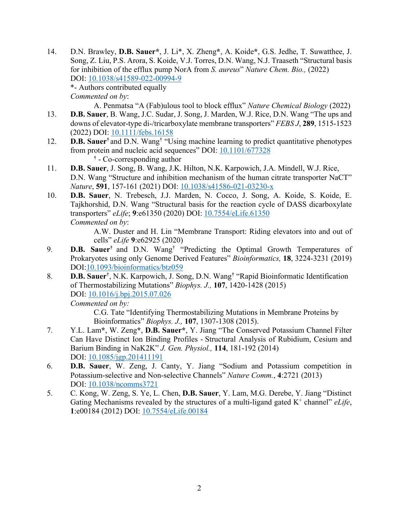- 14. D.N. Brawley, **D.B. Sauer\***, J. Li\*, X. Zheng**\***, A. Koide**\***, G.S. Jedhe, T. Suwatthee, J. Song, Z. Liu, P.S. Arora, S. Koide, V.J. Torres, D.N. Wang, N.J. Traaseth "Structural basis for inhibition of the efflux pump NorA from *S. aureus*" *Nature Chem. Bio.,* (2022) DOI: 10.1038/s41589-022-00994-9 \*- Authors contributed equally *Commented on by*:
- A. Penmatsa "A (Fab)ulous tool to block efflux" *Nature Chemical Biology* (2022) 13. **D.B. Sauer**, B. Wang, J.C. Sudar, J. Song, J. Marden, W.J. Rice, D.N. Wang "The ups and downs of elevator-type di-/tricarboxylate membrane transporters" *FEBS J*, **289**, 1515-1523 (2022) DOI: 10.1111/febs.16158
- 12. **D.B. Sauer†** and D.N. Wang† "Using machine learning to predict quantitative phenotypes from protein and nucleic acid sequences" DOI: 10.1101/677328 **†** - Co-corresponding author
- 11. **D.B. Sauer**, J. Song, B. Wang, J.K. Hilton, N.K. Karpowich, J.A. Mindell, W.J. Rice, D.N. Wang "Structure and inhibition mechanism of the human citrate transporter NaCT" *Nature*, **591**, 157-161 (2021) DOI: 10.1038/s41586-021-03230-x
- 10. **D.B. Sauer**, N. Trebesch, J.J. Marden, N. Cocco, J. Song, A. Koide, S. Koide, E. Tajkhorshid, D.N. Wang "Structural basis for the reaction cycle of DASS dicarboxylate transporters" *eLife*; **9**:e61350 (2020) DOI: 10.7554/eLife.61350 *Commented on by*:

A.W. Duster and H. Lin "Membrane Transport: Riding elevators into and out of cells" *eLife* **9**:e62925 (2020)

- 9. **D.B. Sauer†** and D.N. Wang† "Predicting the Optimal Growth Temperatures of Prokaryotes using only Genome Derived Features" *Bioinformatics,* **18**, 3224-3231 (2019) DOI:10.1093/bioinformatics/btz059
- 8. **D.B. Sauer†** , N.K. Karpowich, J. Song, D.N. Wang**†** "Rapid Bioinformatic Identification of Thermostabilizing Mutations" *Biophys. J.,* **107**, 1420-1428 (2015) DOI: 10.1016/j.bpj.2015.07.026

*Commented on by:*

C.G. Tate "Identifying Thermostabilizing Mutations in Membrane Proteins by Bioinformatics" *Biophys. J.,* **107**, 1307-1308 (2015).

- 7. Y.L. Lam**\***, W. Zeng**\***, **D.B. Sauer\***, Y. Jiang "The Conserved Potassium Channel Filter Can Have Distinct Ion Binding Profiles - Structural Analysis of Rubidium, Cesium and Barium Binding in NaK2K" *J. Gen. Physiol.,* **114**, 181-192 (2014) DOI: 10.1085/jgp.201411191
- 6. **D.B. Sauer**, W. Zeng, J. Canty, Y. Jiang "Sodium and Potassium competition in Potassium-selective and Non-selective Channels" *Nature Comm.*, **4**:2721 (2013) DOI: 10.1038/ncomms3721
- 5. C. Kong, W. Zeng, S. Ye, L. Chen, **D.B. Sauer**, Y. Lam, M.G. Derebe, Y. Jiang "Distinct Gating Mechanisms revealed by the structures of a multi-ligand gated  $K^+$  channel" *eLife*, **1**:e00184 (2012) DOI: 10.7554/eLife.00184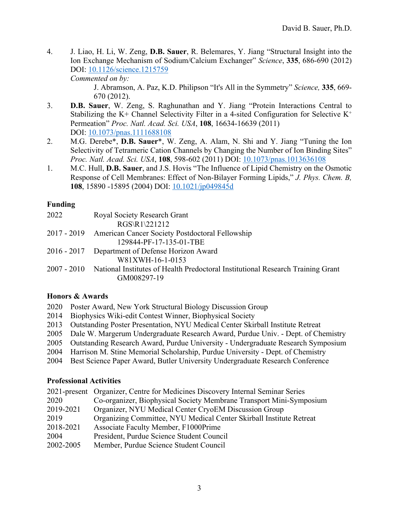4. J. Liao, H. Li, W. Zeng, **D.B. Sauer**, R. Belemares, Y. Jiang "Structural Insight into the Ion Exchange Mechanism of Sodium/Calcium Exchanger" *Science*, **335**, 686-690 (2012) DOI: 10.1126/science.1215759

*Commented on by:*

J. Abramson, A. Paz, K.D. Philipson "It's All in the Symmetry" *Science,* **335**, 669- 670 (2012).

- 3. **D.B. Sauer**, W. Zeng, S. Raghunathan and Y. Jiang "Protein Interactions Central to Stabilizing the K+ Channel Selectivity Filter in a 4-sited Configuration for Selective  $K^+$ Permeation" *Proc. Natl. Acad. Sci. USA*, **108**, 16634-16639 (2011) DOI: 10.1073/pnas.1111688108
- 2. M.G. Derebe\*, **D.B. Sauer**\*, W. Zeng, A. Alam, N. Shi and Y. Jiang "Tuning the Ion Selectivity of Tetrameric Cation Channels by Changing the Number of Ion Binding Sites" *Proc. Natl. Acad. Sci. USA*, **108**, 598-602 (2011) DOI: 10.1073/pnas.1013636108
- 1. M.C. Hull, **D.B. Sauer**, and J.S. Hovis "The Influence of Lipid Chemistry on the Osmotic Response of Cell Membranes: Effect of Non-Bilayer Forming Lipids," *J. Phys. Chem. B,*  **108**, 15890 -15895 (2004) DOI: 10.1021/jp049845d

# **Funding**

| 2022 | Royal Society Research Grant                                                                               |
|------|------------------------------------------------------------------------------------------------------------|
|      | RGS\R1\221212                                                                                              |
|      | 2017 - 2019 American Cancer Society Postdoctoral Fellowship                                                |
|      | 129844-PF-17-135-01-TBE                                                                                    |
|      | 2016 - 2017 Department of Defense Horizon Award                                                            |
|      | W81XWH-16-1-0153                                                                                           |
|      | 2007 - 2010 National Institutes of Health Predoctoral Institutional Research Training Grant<br>GM008297-19 |
|      |                                                                                                            |

# **Honors & Awards**

- 2020 Poster Award, New York Structural Biology Discussion Group
- 2014 Biophysics Wiki-edit Contest Winner, Biophysical Society
- 2013 Outstanding Poster Presentation, NYU Medical Center Skirball Institute Retreat
- 2005 Dale W. Margerum Undergraduate Research Award, Purdue Univ. Dept. of Chemistry
- 2005 Outstanding Research Award, Purdue University Undergraduate Research Symposium
- 2004 Harrison M. Stine Memorial Scholarship, Purdue University Dept. of Chemistry
- 2004 Best Science Paper Award, Butler University Undergraduate Research Conference

# **Professional Activities**

| 2021-present Organizer, Centre for Medicines Discovery Internal Seminar Series |  |
|--------------------------------------------------------------------------------|--|
| Co-organizer, Biophysical Society Membrane Transport Mini-Symposium<br>2020    |  |
| Organizer, NYU Medical Center CryoEM Discussion Group<br>2019-2021             |  |
| Organizing Committee, NYU Medical Center Skirball Institute Retreat<br>2019    |  |
| Associate Faculty Member, F1000Prime<br>2018-2021                              |  |
| President, Purdue Science Student Council<br>2004                              |  |
| 2002-2005<br>Member, Purdue Science Student Council                            |  |